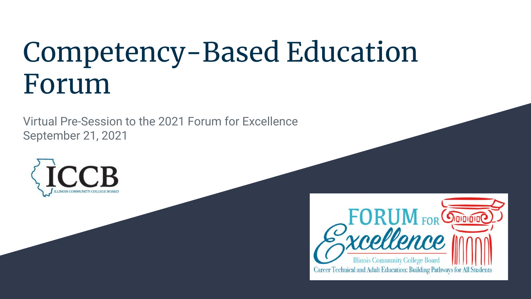# Competency-Based Education Forum

Virtual Pre-Session to the 2021 Forum for Excellence September 21, 2021



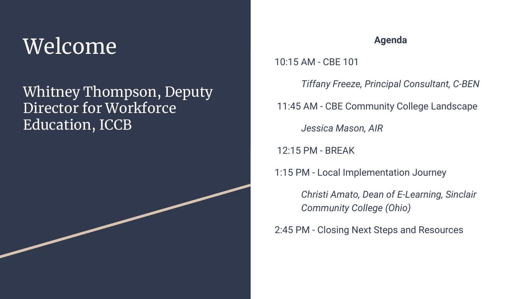# Welcome

#### Whitney Thompson, Deputy Director for Workforce Education, ICCB

#### **Agenda**

10:15 AM - CBE 101

*Tiffany Freeze, Principal Consultant, C-BEN*

11:45 AM - CBE Community College Landscape

*Jessica Mason, AIR*

12:15 PM - BREAK

1:15 PM - Local Implementation Journey

*Christi Amato, Dean of E-Learning, Sinclair Community College (Ohio)*

2:45 PM - Closing Next Steps and Resources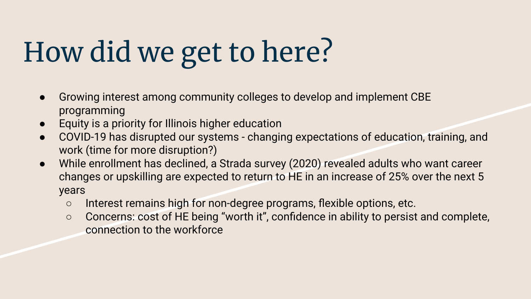# How did we get to here?

- Growing interest among community colleges to develop and implement CBE programming
- Equity is a priority for Illinois higher education
- COVID-19 has disrupted our systems changing expectations of education, training, and work (time for more disruption?)
- While enrollment has declined, a Strada survey (2020) revealed adults who want career changes or upskilling are expected to return to HE in an increase of 25% over the next 5 years
	- Interest remains high for non-degree programs, flexible options, etc.
	- Concerns: cost of HE being "worth it", confidence in ability to persist and complete, connection to the workforce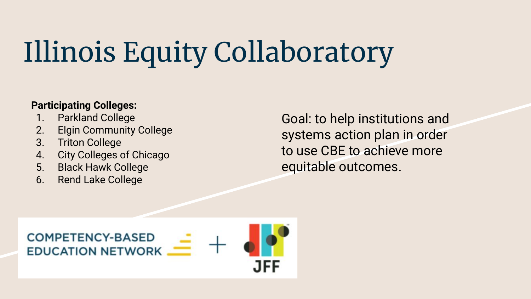# Illinois Equity Collaboratory

#### **Participating Colleges:**

- 1. Parkland College
- 2. Elgin Community College
- 3. Triton College
- 4. City Colleges of Chicago
- 5. Black Hawk College
- 6. Rend Lake College

Goal: to help institutions and systems action plan in order to use CBE to achieve more equitable outcomes.

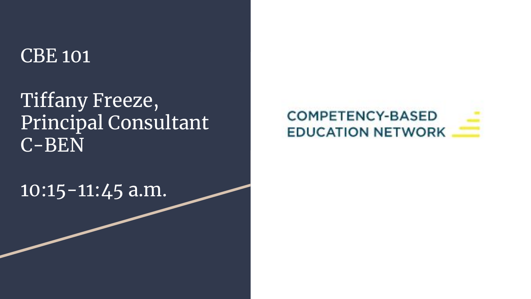#### CBE 101

Tiffany Freeze, Principal Consultant C-BEN

10:15-11:45 a.m.

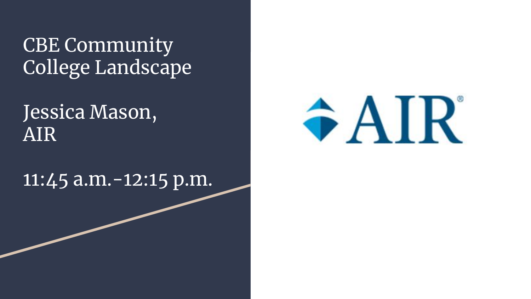CBE Community College Landscape

### Jessica Mason, AIR

11:45 a.m.-12:15 p.m.

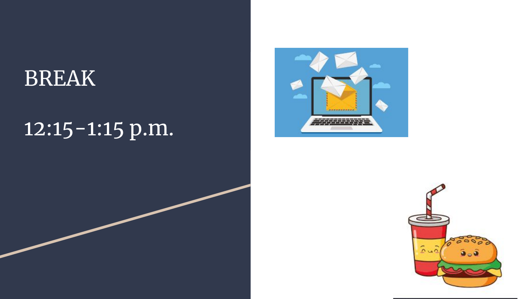## BREAK

## 12:15-1:15 p.m.



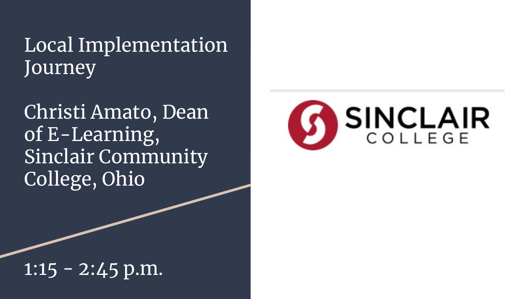Local Implementation **Journey** 

Christi Amato, Dean of E-Learning, Sinclair Community College, Ohio



 $1:15 - 2:45$  p.m.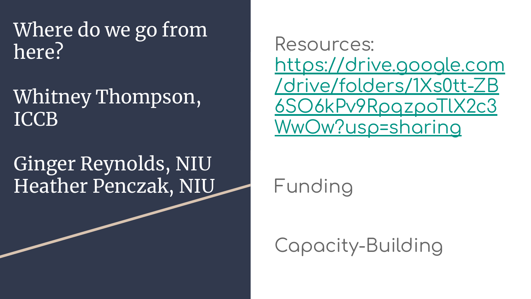## Where do we go from here?

Whitney Thompson, ICCB

# Ginger Reynolds, NIU Heather Penczak, NIU

Resources: https://drive.google.com /drive/folders/1Xs0tt-ZB [6SO6kPv9RpqzpoTlX2c3](https://drive.google.com/drive/folders/1Xs0tt-ZB6SO6kPv9RpqzpoTlX2c3WwOw?usp=sharing) WwOw?usp=sharing

Funding

Capacity-Building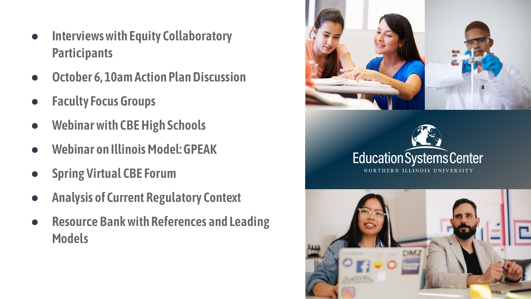- **Interviews with Equity Collaboratory Participants**
- **October 6, 10am Action Plan Discussion**
- **Faculty Focus Groups**
- **Webinar with CBE High Schools**
- **Webinar on Illinois Model: GPEAK**
- **Spring Virtual CBE Forum**
- **Analysis of Current Regulatory Context**
- **Resource Bank with References and Leading Models**